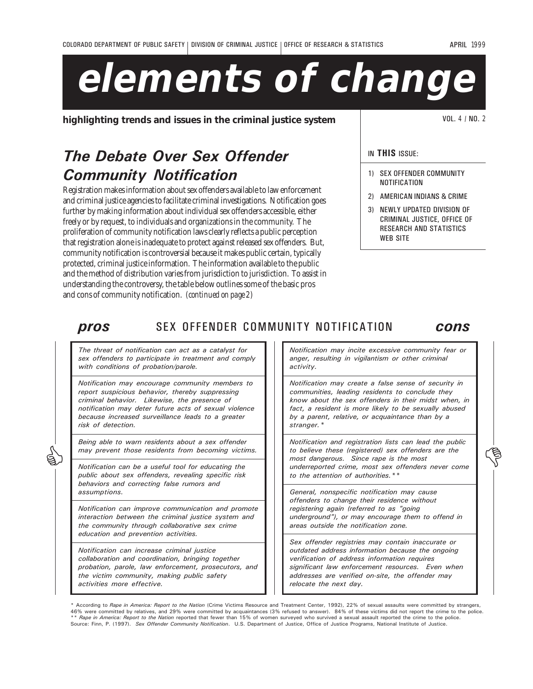# **elements of change**

**highlighting trends and issues in the criminal justice system**  $\vert$  **VOL. 4/NO. 2** 

## The Debate Over Sex Offender Community Notification

Registration makes information about sex offenders available to law enforcement and criminal justice agencies to facilitate criminal investigations. Notification goes further by making information about individual sex offenders accessible, either freely or by request, to individuals and organizations in the community. The proliferation of community notification laws clearly reflects a public perception that registration alone is inadequate to protect against released sex offenders. But, community notification is controversial because it makes public certain, typically protected, criminal justice information. The information available to the public and the method of distribution varies from jurisdiction to jurisdiction. To assist in understanding the controversy, the table below outlines some of the basic pros and cons of community notification. *(continued on page 2)*

#### IN THIS ISSUE:

- 1) SEX OFFENDER COMMUNITY NOTIFICATION
- 2) AMERICAN INDIANS & CRIME
- 3) NEWLY UPDATED DIVISION OF CRIMINAL JUSTICE, OFFICE OF RESEARCH AND STATISTICS WEB SITE

| pros | SEX OFFENDER COMMUNITY NOTIFICATION |  | cons |
|------|-------------------------------------|--|------|
|      |                                     |  |      |

The threat of notification can act as a catalyst for sex offenders to participate in treatment and comply with conditions of probation/parole.

Notification may encourage community members to report suspicious behavior, thereby suppressing criminal behavior. Likewise, the presence of notification may deter future acts of sexual violence because increased surveillance leads to a greater risk of detection.

Being able to warn residents about a sex offender may prevent those residents from becoming victims.

Notification can be a useful tool for educating the public about sex offenders, revealing specific risk behaviors and correcting false rumors and assumptions.

Notification can improve communication and promote interaction between the criminal justice system and the community through collaborative sex crime education and prevention activities.

Notification can increase criminal justice collaboration and coordination, bringing together probation, parole, law enforcement, prosecutors, and the victim community, making public safety activities more effective.

Notification may incite excessive community fear or anger, resulting in vigilantism or other criminal activity.

Notification may create a false sense of security in communities, leading residents to conclude they know about the sex offenders in their midst when, in fact, a resident is more likely to be sexually abused by a parent, relative, or acquaintance than by a stranger.\*

Notification and registration lists can lead the public to believe these (registered) sex offenders are the most dangerous. Since rape is the most underreported crime, most sex offenders never come to the attention of authorities. \*\* Being able to warn residents about a sex orienter<br>
may prevent those residents from becoming victims.<br>
Notification can be a useful tool for educating the<br>
while about a sex of enders are the<br>
Notification can be a useful

> General, nonspecific notification may cause offenders to change their residence without registering again (referred to as "going underground"), or may encourage them to offend in areas outside the notification zone.

> Sex offender registries may contain inaccurate or outdated address information because the ongoing verification of address information requires significant law enforcement resources. Even when addresses are verified on-site, the offender may relocate the next day.

According to Rape in America: Report to the Nation (Crime Victims Resource and Treatment Center, 1992), 22% of sexual assaults were committed by strangers, 46% were committed by relatives, and 29% were committed by acquaintances (3% refused to answer). 84% of these victims did not report the crime to the police.<br>\*\* *Rape in America: Report to the Nation* reported that fewer t Source: Finn, P. (1997). Sex Offender Community Notification. U.S. Department of Justice, Office of Justice Programs, National Institute of Justice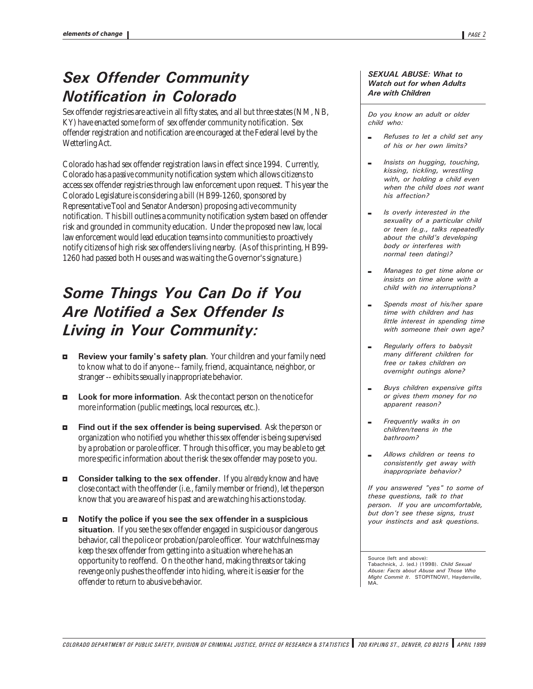### Sex Offender Community Notification in Colorado

Sex offender registries are active in all fifty states, and all but three states (NM, NB, KY) have enacted some form of sex offender community notification. Sex offender registration and notification are encouraged at the Federal level by the Wetterling Act.

Colorado has had sex offender registration laws in effect since 1994. Currently, Colorado has a *passive* community notification system which allows citizens to access sex offender registries through law enforcement upon request. This year the Colorado Legislature is considering a bill (HB99-1260, sponsored by Representative Tool and Senator Anderson) proposing *active* community notification. This bill outlines a community notification system based on offender risk and grounded in community education. Under the proposed new law, local law enforcement would lead education teams into communities to proactively notify citizens of high risk sex offenders living nearby. (As of this printing, HB99- 1260 had passed both Houses and was waiting the Governor's signature.)

## Some Things You Can Do if You Are Notified a Sex Offender Is Living in Your Community:

- **EXECUTE:** Review your family's safety plan. Your children and your family need to know what to do if anyone -- family, friend, acquaintance, neighbor, or stranger -- exhibits sexually inappropriate behavior.
- $\Box$  Look for more information. Ask the contact person on the notice for more information (public meetings, local resources, etc.).
- $\blacksquare$  Find out if the sex offender is being supervised. Ask the person or organization who notified you whether this sex offender is being supervised by a probation or parole officer. Through this officer, you may be able to get more specific information about the risk the sex offender may pose to you.
- 3 Consider talking to the sex offender. If you *already* know and have close contact with the offender (i.e., family member or friend), let the person know that you are aware of his past and are watching his actions today.
- 3 Notify the police if you see the sex offender in a suspicious situation. If you see the sex offender engaged in suspicious or dangerous behavior, call the police or probation/parole officer. Your watchfulness may keep the sex offender from getting into a situation where he has an opportunity to reoffend. On the other hand, making threats or taking revenge only pushes the offender into hiding, where it is easier for the offender to return to abusive behavior.

#### SEXUAL ABUSE: What to Watch out for when Adults Are with Children

Do you know an adult or older child who:

- , Refuses to let a child set any of his or her own limits?
- Insists on hugging, touching, kissing, tickling, wrestling with, or holding a child even when the child does not want his affection?
- Is overly interested in the sexuality of a particular child or teen (e.g., talks repeatedly about the child's developing body or interferes with normal teen dating)?
- $-Manages$  to get time alone or insists on time alone with a child with no interruptions?
- , Spends most of his/her spare time with children and has little interest in spending time with someone their own age?
- Regularly offers to babysit many different children for free or takes children on overnight outings alone?
- Buys children expensive gifts or gives them money for no apparent reason?
- Frequently walks in on children/teens in the bathroom?
- , Allows children or teens to consistently get away with inappropriate behavior?

If you answered "yes" to some of these questions, talk to that person. If you are uncomfortable, but don't see these signs, trust your instincts and ask questions.

Source (left and above): Tabachnick, J. (ed.) (1998). Child Sexual Abuse: Facts about Abuse and Those Who Might Commit It. STOPITNOW!, Haydenville, MA.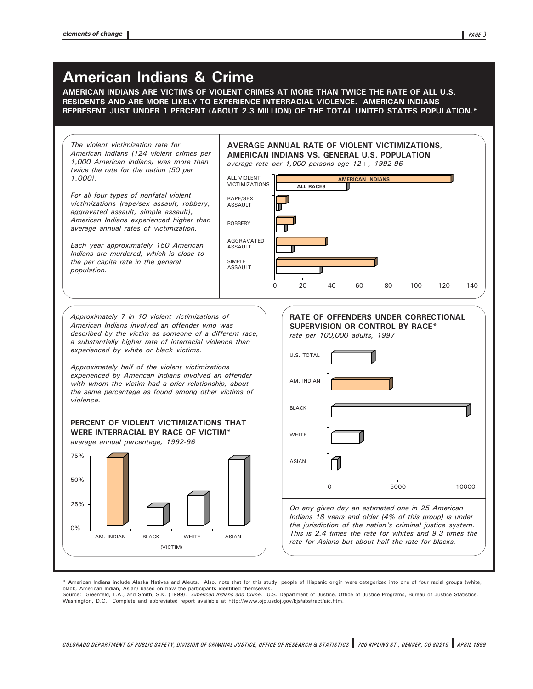#### American Indians & Crime

AMERICAN INDIANS ARE VICTIMS OF VIOLENT CRIMES AT MORE THAN TWICE THE RATE OF ALL U.S. RESIDENTS AND ARE MORE LIKELY TO EXPERIENCE INTERRACIAL VIOLENCE. AMERICAN INDIANS REPRESENT JUST UNDER 1 PERCENT (ABOUT 2.3 MILLION) OF THE TOTAL UNITED STATES POPULATION.\*



\* American Indians include Alaska Natives and Aleuts. Also, note that for this study, people of Hispanic origin were categorized into one of four racial groups (white, black, American Indian, Asian) based on how the participants identified themselves. Source: Greenfeld, L.A., and Smith, S.K. (1999). American Indians and Crime. U.S. Department of Justice of Justice Programs, Bureau of Justice Statistics.

Washington, D.C. Complete and abbreviated report available at http://www.ojp.usdoj.gov/bjs/abstract/aic.htm.